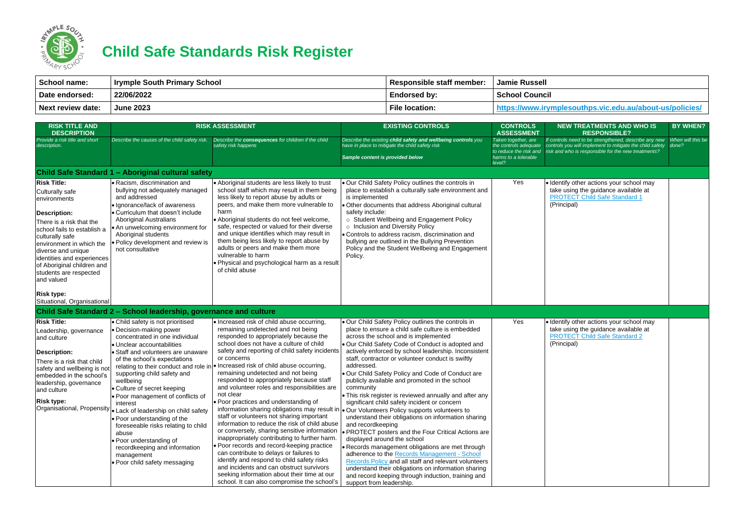

## **Child Safe Standards Risk Register**

| School name:      | <b>Irymple South Primary School</b> | Responsible staff member: | Jamie Russell         |
|-------------------|-------------------------------------|---------------------------|-----------------------|
| Date endorsed:    | 22/06/2022                          | <b>Endorsed by:</b>       | <b>School Council</b> |
| Next review date: | <b>June 2023</b>                    | <b>File location:</b>     | https://www.irymplo   |

| <b>RISK TITLE AND</b><br><b>DESCRIPTION</b>                                                                                                                                                                                                                                                               |                                                                                                                                                                                                                                                                                                                                                                                                                                                                                                                                                                  | <b>RISK ASSESSMENT</b>                                                                                                                                                                                                                                                                                                                                                                                                                                                                                                                                                                                                                                                                                                                                                                                                                                                                                                                                                                                       | <b>EXISTING CONTROLS</b>                                                                                                                                                                                                                                                                                                                                                                                                                                                                                                                                                                                                                                                                                                                                                                                                                                                                                                                                                                                                                                                                                                                  | <b>CONTROLS</b><br><b>ASSESSMENT</b>                                                                     | <b>NEW TREATMENTS AND WHO IS</b><br><b>RESPONSIBLE?</b>                                                                                                                        | <b>BY WHEN?</b>   |
|-----------------------------------------------------------------------------------------------------------------------------------------------------------------------------------------------------------------------------------------------------------------------------------------------------------|------------------------------------------------------------------------------------------------------------------------------------------------------------------------------------------------------------------------------------------------------------------------------------------------------------------------------------------------------------------------------------------------------------------------------------------------------------------------------------------------------------------------------------------------------------------|--------------------------------------------------------------------------------------------------------------------------------------------------------------------------------------------------------------------------------------------------------------------------------------------------------------------------------------------------------------------------------------------------------------------------------------------------------------------------------------------------------------------------------------------------------------------------------------------------------------------------------------------------------------------------------------------------------------------------------------------------------------------------------------------------------------------------------------------------------------------------------------------------------------------------------------------------------------------------------------------------------------|-------------------------------------------------------------------------------------------------------------------------------------------------------------------------------------------------------------------------------------------------------------------------------------------------------------------------------------------------------------------------------------------------------------------------------------------------------------------------------------------------------------------------------------------------------------------------------------------------------------------------------------------------------------------------------------------------------------------------------------------------------------------------------------------------------------------------------------------------------------------------------------------------------------------------------------------------------------------------------------------------------------------------------------------------------------------------------------------------------------------------------------------|----------------------------------------------------------------------------------------------------------|--------------------------------------------------------------------------------------------------------------------------------------------------------------------------------|-------------------|
| Provide a risk title and short<br>description.                                                                                                                                                                                                                                                            | Describe the causes of the child safety risk.                                                                                                                                                                                                                                                                                                                                                                                                                                                                                                                    | Describe the consequences for children if the child<br>safety risk happens                                                                                                                                                                                                                                                                                                                                                                                                                                                                                                                                                                                                                                                                                                                                                                                                                                                                                                                                   | Describe the existing child safety and wellbeing controls you<br>have in place to mitigate the child safety risk<br>Sample content is provided below                                                                                                                                                                                                                                                                                                                                                                                                                                                                                                                                                                                                                                                                                                                                                                                                                                                                                                                                                                                      | Taken together, are<br>the controls adequate<br>to reduce the risk and<br>harms to a tolerable<br>level? | If controls need to be strengthened, describe any new<br>controls you will implement to mitigate the child safety done?<br>risk and who is responsible for the new treatments? | When will this be |
|                                                                                                                                                                                                                                                                                                           | Child Safe Standard 1 - Aboriginal cultural safety                                                                                                                                                                                                                                                                                                                                                                                                                                                                                                               |                                                                                                                                                                                                                                                                                                                                                                                                                                                                                                                                                                                                                                                                                                                                                                                                                                                                                                                                                                                                              |                                                                                                                                                                                                                                                                                                                                                                                                                                                                                                                                                                                                                                                                                                                                                                                                                                                                                                                                                                                                                                                                                                                                           |                                                                                                          |                                                                                                                                                                                |                   |
| <b>Risk Title:</b><br>Culturally safe<br>environments<br>Description:<br>There is a risk that the<br>school fails to establish a<br>culturally safe<br>environment in which the<br>diverse and unique<br>identities and experiences<br>of Aboriginal children and<br>students are respected<br>and valued | • Racism, discrimination and<br>bullying not adequately managed<br>and addressed<br>· Ignorance/lack of awareness<br>• Curriculum that doesn't include<br><b>Aboriginal Australians</b><br>• An unwelcoming environment for<br>Aboriginal students<br>Policy development and review is<br>not consultative                                                                                                                                                                                                                                                       | • Aboriginal students are less likely to trust<br>school staff which may result in them being<br>less likely to report abuse by adults or<br>peers, and make them more vulnerable to<br>harm<br>Aboriginal students do not feel welcome,<br>safe, respected or valued for their diverse<br>and unique identifies which may result in<br>them being less likely to report abuse by<br>adults or peers and make them more<br>vulnerable to harm<br>. Physical and psychological harm as a result<br>of child abuse                                                                                                                                                                                                                                                                                                                                                                                                                                                                                             | Our Child Safety Policy outlines the controls in<br>place to establish a culturally safe environment and<br>is implemented<br>Other documents that address Aboriginal cultural<br>safety include:<br>o Student Wellbeing and Engagement Policy<br>o Inclusion and Diversity Policy<br>• Controls to address racism, discrimination and<br>bullying are outlined in the Bullying Prevention<br>Policy and the Student Wellbeing and Engagement<br>Policy.                                                                                                                                                                                                                                                                                                                                                                                                                                                                                                                                                                                                                                                                                  | Yes                                                                                                      | · Identify other actions your school may<br>take using the guidance available at<br><b>PROTECT Child Safe Standard 1</b><br>(Principal)                                        |                   |
| <b>Risk type:</b><br>Situational, Organisational                                                                                                                                                                                                                                                          |                                                                                                                                                                                                                                                                                                                                                                                                                                                                                                                                                                  |                                                                                                                                                                                                                                                                                                                                                                                                                                                                                                                                                                                                                                                                                                                                                                                                                                                                                                                                                                                                              |                                                                                                                                                                                                                                                                                                                                                                                                                                                                                                                                                                                                                                                                                                                                                                                                                                                                                                                                                                                                                                                                                                                                           |                                                                                                          |                                                                                                                                                                                |                   |
|                                                                                                                                                                                                                                                                                                           | Child Safe Standard 2 - School leadership, governance and culture                                                                                                                                                                                                                                                                                                                                                                                                                                                                                                |                                                                                                                                                                                                                                                                                                                                                                                                                                                                                                                                                                                                                                                                                                                                                                                                                                                                                                                                                                                                              |                                                                                                                                                                                                                                                                                                                                                                                                                                                                                                                                                                                                                                                                                                                                                                                                                                                                                                                                                                                                                                                                                                                                           |                                                                                                          |                                                                                                                                                                                |                   |
| <b>Risk Title:</b><br>Leadership, governance<br>and culture<br>Description:<br>There is a risk that child<br>safety and wellbeing is no<br>embedded in the school's<br>leadership, governance<br>and culture<br><b>Risk type:</b><br>Organisational, Propensity                                           | • Child safety is not prioritised<br>• Decision-making power<br>concentrated in one individual<br>• Unclear accountabilities<br>• Staff and volunteers are unaware<br>of the school's expectations<br>supporting child safety and<br>wellbeing<br>• Culture of secret keeping<br>. Poor management of conflicts of<br>interest<br>• Lack of leadership on child safety<br>• Poor understanding of the<br>foreseeable risks relating to child<br>abuse<br>• Poor understanding of<br>recordkeeping and information<br>management<br>• Poor child safety messaging | • Increased risk of child abuse occurring,<br>remaining undetected and not being<br>responded to appropriately because the<br>school does not have a culture of child<br>safety and reporting of child safety incidents<br>or concerns<br>relating to their conduct and role in $ \bullet $ Increased risk of child abuse occurring,<br>remaining undetected and not being<br>responded to appropriately because staff<br>and volunteer roles and responsibilities are<br>not clear<br>• Poor practices and understanding of<br>staff or volunteers not sharing important<br>information to reduce the risk of child abuse<br>or conversely, sharing sensitive information<br>inappropriately contributing to further harm.<br>• Poor records and record-keeping practice<br>can contribute to delays or failures to<br>identify and respond to child safety risks<br>and incidents and can obstruct survivors<br>seeking information about their time at our<br>school. It can also compromise the school's | • Our Child Safety Policy outlines the controls in<br>place to ensure a child safe culture is embedded<br>across the school and is implemented<br>. Our Child Safety Code of Conduct is adopted and<br>actively enforced by school leadership. Inconsistent<br>staff, contractor or volunteer conduct is swiftly<br>addressed.<br>Our Child Safety Policy and Code of Conduct are<br>publicly available and promoted in the school<br>community<br>• This risk register is reviewed annually and after any<br>significant child safety incident or concern<br>information sharing obligations may result in $\bullet$ Our Volunteers Policy supports volunteers to<br>understand their obligations on information sharing<br>and recordkeeping<br>• PROTECT posters and the Four Critical Actions are<br>displayed around the school<br>• Records management obligations are met through<br>adherence to the Records Management - School<br>Records Policy and all staff and relevant volunteers<br>understand their obligations on information sharing<br>and record keeping through induction, training and<br>support from leadership. | Yes                                                                                                      | · Identify other actions your school may<br>take using the guidance available at<br><b>PROTECT Child Safe Standard 2</b><br>(Principal)                                        |                   |

## **Nesouthps.vic.edu.au/about-us/policies/**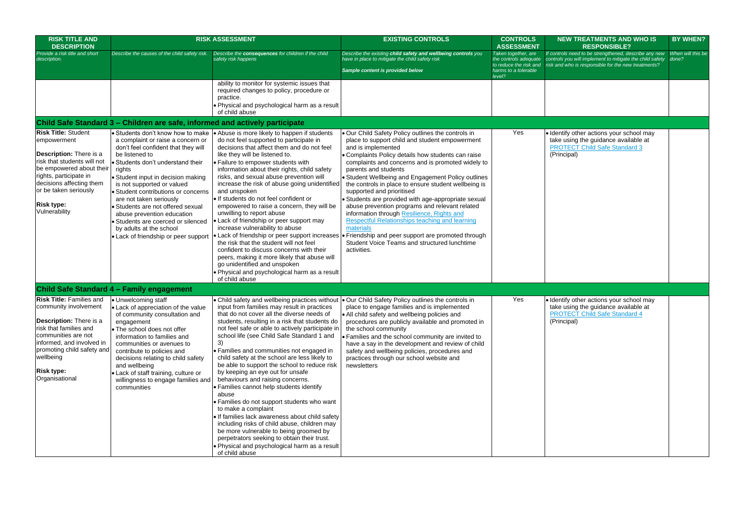| <b>RISK TITLE AND</b><br><b>DESCRIPTION</b>                                                                                                                                                                                                                 |                                                                                                                                                                                                                                                                                                                                                                                                                                                                                        | <b>RISK ASSESSMENT</b>                                                                                                                                                                                                                                                                                                                                                                                                                                                                                                                                                                                                                                                                                                                                                                                                                                                    | <b>EXISTING CONTROLS</b>                                                                                                                                                                                                                                                                                                                                                                                                                                                                                                                                                                                                                                                                                                                            | <b>CONTROLS</b><br><b>ASSESSMENT</b>                                                                     |                                               |
|-------------------------------------------------------------------------------------------------------------------------------------------------------------------------------------------------------------------------------------------------------------|----------------------------------------------------------------------------------------------------------------------------------------------------------------------------------------------------------------------------------------------------------------------------------------------------------------------------------------------------------------------------------------------------------------------------------------------------------------------------------------|---------------------------------------------------------------------------------------------------------------------------------------------------------------------------------------------------------------------------------------------------------------------------------------------------------------------------------------------------------------------------------------------------------------------------------------------------------------------------------------------------------------------------------------------------------------------------------------------------------------------------------------------------------------------------------------------------------------------------------------------------------------------------------------------------------------------------------------------------------------------------|-----------------------------------------------------------------------------------------------------------------------------------------------------------------------------------------------------------------------------------------------------------------------------------------------------------------------------------------------------------------------------------------------------------------------------------------------------------------------------------------------------------------------------------------------------------------------------------------------------------------------------------------------------------------------------------------------------------------------------------------------------|----------------------------------------------------------------------------------------------------------|-----------------------------------------------|
| Provide a risk title and short<br>description.                                                                                                                                                                                                              | Describe the causes of the child safety risk.                                                                                                                                                                                                                                                                                                                                                                                                                                          | Describe the consequences for children if the child<br>safety risk happens                                                                                                                                                                                                                                                                                                                                                                                                                                                                                                                                                                                                                                                                                                                                                                                                | Describe the existing child safety and wellbeing controls you<br>have in place to mitigate the child safety risk<br>Sample content is provided below                                                                                                                                                                                                                                                                                                                                                                                                                                                                                                                                                                                                | Taken together, are<br>the controls adequate<br>to reduce the risk and<br>harms to a tolerable<br>level? | If conti<br>control<br>risk an                |
|                                                                                                                                                                                                                                                             |                                                                                                                                                                                                                                                                                                                                                                                                                                                                                        | ability to monitor for systemic issues that<br>required changes to policy, procedure or<br>practice.<br>• Physical and psychological harm as a result<br>of child abuse                                                                                                                                                                                                                                                                                                                                                                                                                                                                                                                                                                                                                                                                                                   |                                                                                                                                                                                                                                                                                                                                                                                                                                                                                                                                                                                                                                                                                                                                                     |                                                                                                          |                                               |
|                                                                                                                                                                                                                                                             | Child Safe Standard 3 - Children are safe, informed and actively participate                                                                                                                                                                                                                                                                                                                                                                                                           |                                                                                                                                                                                                                                                                                                                                                                                                                                                                                                                                                                                                                                                                                                                                                                                                                                                                           |                                                                                                                                                                                                                                                                                                                                                                                                                                                                                                                                                                                                                                                                                                                                                     |                                                                                                          |                                               |
| <b>Risk Title: Student</b><br>empowerment<br><b>Description:</b> There is a<br>risk that students will not<br>be empowered about their<br>rights, participate in<br>decisions affecting them<br>or be taken seriously<br><b>Risk type:</b><br>Vulnerability | Students don't know how to make<br>a complaint or raise a concern or<br>don't feel confident that they will<br>be listened to<br>Students don't understand their<br>rights<br>Student input in decision making<br>is not supported or valued<br>Student contributions or concerns<br>are not taken seriously<br>Students are not offered sexual<br>abuse prevention education<br>• Students are coerced or silenced<br>by adults at the school<br>• Lack of friendship or peer support | • Abuse is more likely to happen if students<br>do not feel supported to participate in<br>decisions that affect them and do not feel<br>like they will be listened to.<br>· Failure to empower students with<br>information about their rights, child safety<br>risks, and sexual abuse prevention will<br>increase the risk of abuse going unidentified<br>and unspoken<br>· If students do not feel confident or<br>empowered to raise a concern, they will be<br>unwilling to report abuse<br>· Lack of friendship or peer support may<br>increase vulnerability to abuse<br>• Lack of friendship or peer support increases<br>the risk that the student will not feel<br>confident to discuss concerns with their<br>peers, making it more likely that abuse will<br>go unidentified and unspoken<br>. Physical and psychological harm as a result<br>of child abuse | . Our Child Safety Policy outlines the controls in<br>place to support child and student empowerment<br>and is implemented<br>• Complaints Policy details how students can raise<br>complaints and concerns and is promoted widely to<br>parents and students<br>• Student Wellbeing and Engagement Policy outlines<br>the controls in place to ensure student wellbeing is<br>supported and prioritised<br>• Students are provided with age-appropriate sexual<br>abuse prevention programs and relevant related<br>information through Resilience, Rights and<br>Respectful Relationships teaching and learning<br>materials<br>• Friendship and peer support are promoted through<br>Student Voice Teams and structured lunchtime<br>activities. | Yes                                                                                                      | $\bullet$ Ider<br>take<br><b>PRC</b><br>(Prin |
|                                                                                                                                                                                                                                                             | Child Safe Standard 4 - Family engagement                                                                                                                                                                                                                                                                                                                                                                                                                                              |                                                                                                                                                                                                                                                                                                                                                                                                                                                                                                                                                                                                                                                                                                                                                                                                                                                                           |                                                                                                                                                                                                                                                                                                                                                                                                                                                                                                                                                                                                                                                                                                                                                     |                                                                                                          |                                               |
| <b>Risk Title: Families and</b><br>community involvement<br>Description: There is a<br>risk that families and<br>communities are not<br>informed, and involved in<br>promoting child safety and<br>wellbeing<br>Risk type:<br>Organisational                | • Unwelcoming staff<br>• Lack of appreciation of the value<br>of community consultation and<br>engagement<br>• The school does not offer<br>information to families and<br>communities or avenues to<br>contribute to policies and<br>decisions relating to child safety<br>and wellbeing<br>• Lack of staff training, culture or<br>willingness to engage families and<br>communities                                                                                                 | input from families may result in practices<br>that do not cover all the diverse needs of<br>students, resulting in a risk that students do<br>not feel safe or able to actively participate in<br>school life (see Child Safe Standard 1 and<br>3)<br>• Families and communities not engaged in<br>child safety at the school are less likely to<br>be able to support the school to reduce risk<br>by keeping an eye out for unsafe<br>behaviours and raising concerns.<br>• Families cannot help students identify<br>abuse<br>• Families do not support students who want<br>to make a complaint<br>. If families lack awareness about child safety<br>including risks of child abuse, children may<br>be more vulnerable to being groomed by<br>perpetrators seeking to obtain their trust.<br>. Physical and psychological harm as a result<br>of child abuse       | • Child safety and wellbeing practices without   • Our Child Safety Policy outlines the controls in<br>place to engage families and is implemented<br>• All child safety and wellbeing policies and<br>procedures are publicly available and promoted in<br>the school community<br>• Families and the school community are invited to<br>have a say in the development and review of child<br>safety and wellbeing policies, procedures and<br>practices through our school website and<br>newsletters                                                                                                                                                                                                                                             | Yes                                                                                                      | $\bullet$ Ider<br>take<br><b>PRC</b><br>(Prin |

| <b>NTROLS</b><br><b>ESSMENT</b>                                      | <b>NEW TREATMENTS AND WHO IS</b><br><b>RESPONSIBLE?</b>                                                                                                                  | <b>BY WHEN?</b>            |
|----------------------------------------------------------------------|--------------------------------------------------------------------------------------------------------------------------------------------------------------------------|----------------------------|
| together, are<br>trols adequate<br>ce the risk and<br>to a tolerable | If controls need to be strengthened, describe any new<br>controls you will implement to mitigate the child safety<br>risk and who is responsible for the new treatments? | When will this be<br>done? |
|                                                                      |                                                                                                                                                                          |                            |
|                                                                      |                                                                                                                                                                          |                            |
| Yes                                                                  | · Identify other actions your school may<br>take using the guidance available at<br><b>PROTECT Child Safe Standard 3</b><br>(Principal)                                  |                            |
|                                                                      |                                                                                                                                                                          |                            |
| Yes                                                                  | · Identify other actions your school may<br>take using the guidance available at<br><b>PROTECT Child Safe Standard 4</b><br>(Principal)                                  |                            |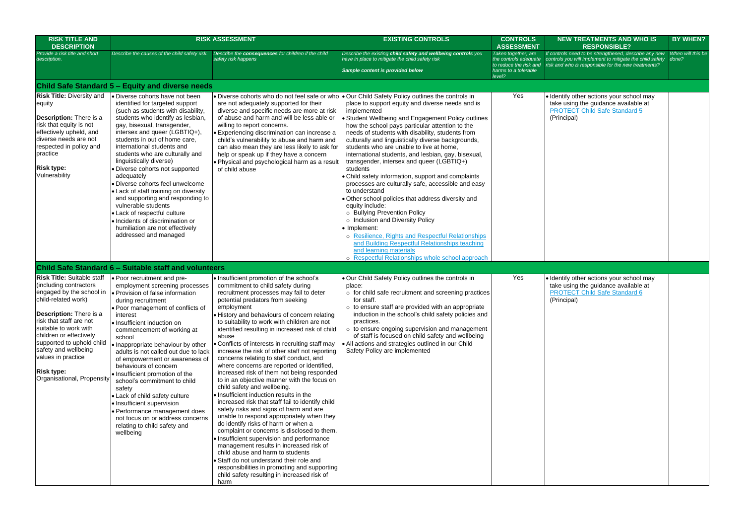| <b>RISK TITLE AND</b><br><b>DESCRIPTION</b>                                                                                                                                                                                                                                                                                                                   |                                                                                                                                                                                                                                                                                                                                                                                                                                                                                                                                                                                                                                                               | <b>RISK ASSESSMENT</b>                                                                                                                                                                                                                                                                                                                                                                                                                                                                                                                                                                                                                                                                                                                                                                                                                                                                                                                                                                                                                                                                                                                                                                                                        | <b>EXISTING CONTROLS</b>                                                                                                                                                                                                                                                                                                                                                                                                                                                                                                                                                                                                                                                                                                                                                                                                                                                                                                                                                                                                                     | <b>CONTROLS</b><br><b>ASSESSMENT</b>                                                                     | <b>NEW TREATMENTS AND WHO IS</b><br><b>RESPONSIBLE?</b>                                                                                                                  | <b>BY WHEN?</b>            |
|---------------------------------------------------------------------------------------------------------------------------------------------------------------------------------------------------------------------------------------------------------------------------------------------------------------------------------------------------------------|---------------------------------------------------------------------------------------------------------------------------------------------------------------------------------------------------------------------------------------------------------------------------------------------------------------------------------------------------------------------------------------------------------------------------------------------------------------------------------------------------------------------------------------------------------------------------------------------------------------------------------------------------------------|-------------------------------------------------------------------------------------------------------------------------------------------------------------------------------------------------------------------------------------------------------------------------------------------------------------------------------------------------------------------------------------------------------------------------------------------------------------------------------------------------------------------------------------------------------------------------------------------------------------------------------------------------------------------------------------------------------------------------------------------------------------------------------------------------------------------------------------------------------------------------------------------------------------------------------------------------------------------------------------------------------------------------------------------------------------------------------------------------------------------------------------------------------------------------------------------------------------------------------|----------------------------------------------------------------------------------------------------------------------------------------------------------------------------------------------------------------------------------------------------------------------------------------------------------------------------------------------------------------------------------------------------------------------------------------------------------------------------------------------------------------------------------------------------------------------------------------------------------------------------------------------------------------------------------------------------------------------------------------------------------------------------------------------------------------------------------------------------------------------------------------------------------------------------------------------------------------------------------------------------------------------------------------------|----------------------------------------------------------------------------------------------------------|--------------------------------------------------------------------------------------------------------------------------------------------------------------------------|----------------------------|
| Provide a risk title and short<br>description.                                                                                                                                                                                                                                                                                                                | Describe the causes of the child safety risk.                                                                                                                                                                                                                                                                                                                                                                                                                                                                                                                                                                                                                 | Describe the consequences for children if the child<br>safety risk happens                                                                                                                                                                                                                                                                                                                                                                                                                                                                                                                                                                                                                                                                                                                                                                                                                                                                                                                                                                                                                                                                                                                                                    | Describe the existing child safety and wellbeing controls you<br>have in place to mitigate the child safety risk<br>Sample content is provided below                                                                                                                                                                                                                                                                                                                                                                                                                                                                                                                                                                                                                                                                                                                                                                                                                                                                                         | Taken together, are<br>the controls adequate<br>to reduce the risk and<br>harms to a tolerable<br>level? | If controls need to be strengthened, describe any new<br>controls you will implement to mitigate the child safety<br>risk and who is responsible for the new treatments? | When will this be<br>done? |
|                                                                                                                                                                                                                                                                                                                                                               | Child Safe Standard 5 - Equity and diverse needs                                                                                                                                                                                                                                                                                                                                                                                                                                                                                                                                                                                                              |                                                                                                                                                                                                                                                                                                                                                                                                                                                                                                                                                                                                                                                                                                                                                                                                                                                                                                                                                                                                                                                                                                                                                                                                                               |                                                                                                                                                                                                                                                                                                                                                                                                                                                                                                                                                                                                                                                                                                                                                                                                                                                                                                                                                                                                                                              |                                                                                                          |                                                                                                                                                                          |                            |
| <b>Risk Title: Diversity and</b><br>equity<br><b>Description:</b> There is a<br>risk that equity is not<br>effectively upheld, and<br>diverse needs are not<br>respected in policy and<br>practice<br><b>Risk type:</b><br>Vulnerability                                                                                                                      | · Diverse cohorts have not been<br>identified for targeted support<br>(such as students with disability,<br>students who identify as lesbian,<br>gay, bisexual, transgender,<br>intersex and queer (LGBTIQ+),<br>students in out of home care,<br>international students and<br>students who are culturally and<br>linguistically diverse)<br>Diverse cohorts not supported<br>adequately<br>Diverse cohorts feel unwelcome<br>• Lack of staff training on diversity<br>and supporting and responding to<br>vulnerable students<br>• Lack of respectful culture<br>Incidents of discrimination or<br>humiliation are not effectively<br>addressed and managed | are not adequately supported for their<br>diverse and specific needs are more at risk<br>of abuse and harm and will be less able or<br>willing to report concerns.<br>• Experiencing discrimination can increase a<br>child's vulnerability to abuse and harm and<br>can also mean they are less likely to ask for<br>help or speak up if they have a concern<br>. Physical and psychological harm as a result<br>of child abuse                                                                                                                                                                                                                                                                                                                                                                                                                                                                                                                                                                                                                                                                                                                                                                                              | • Diverse cohorts who do not feel safe or who $\bullet$ Our Child Safety Policy outlines the controls in<br>place to support equity and diverse needs and is<br>implemented<br>Student Wellbeing and Engagement Policy outlines<br>how the school pays particular attention to the<br>needs of students with disability, students from<br>culturally and linguistically diverse backgrounds,<br>students who are unable to live at home,<br>international students, and lesbian, gay, bisexual,<br>transgender, intersex and queer (LGBTIQ+)<br>students<br>Child safety information, support and complaints<br>processes are culturally safe, accessible and easy<br>to understand<br>Other school policies that address diversity and<br>equity include:<br>o Bullying Prevention Policy<br>o Inclusion and Diversity Policy<br>• Implement:<br>o Resilience, Rights and Respectful Relationships<br>and Building Respectful Relationships teaching<br>and learning materials<br>Respectful Relationships whole school approach<br>$\circ$ | Yes                                                                                                      | · Identify other actions your school may<br>take using the guidance available at<br><b>PROTECT Child Safe Standard 5</b><br>(Principal)                                  |                            |
|                                                                                                                                                                                                                                                                                                                                                               | Child Safe Standard 6 - Suitable staff and volunteers                                                                                                                                                                                                                                                                                                                                                                                                                                                                                                                                                                                                         |                                                                                                                                                                                                                                                                                                                                                                                                                                                                                                                                                                                                                                                                                                                                                                                                                                                                                                                                                                                                                                                                                                                                                                                                                               |                                                                                                                                                                                                                                                                                                                                                                                                                                                                                                                                                                                                                                                                                                                                                                                                                                                                                                                                                                                                                                              |                                                                                                          |                                                                                                                                                                          |                            |
| <b>Risk Title: Suitable staff</b><br>(including contractors<br>engaged by the school in<br>child-related work)<br><b>Description:</b> There is a<br>risk that staff are not<br>suitable to work with<br>children or effectively<br>supported to uphold child<br>safety and wellbeing<br>values in practice<br><b>Risk type:</b><br>Organisational, Propensity | · Poor recruitment and pre-<br>employment screening processes<br>Provision of false information<br>during recruitment<br>• Poor management of conflicts of<br>interest<br>· Insufficient induction on<br>commencement of working at<br>school<br>Inappropriate behaviour by other<br>adults is not called out due to lack<br>of empowerment or awareness of<br>behaviours of concern<br>· Insufficient promotion of the<br>school's commitment to child<br>safety<br>• Lack of child safety culture<br>• Insufficient supervision<br>Performance management does<br>not focus on or address concerns<br>relating to child safety and<br>wellbeing             | · Insufficient promotion of the school's<br>commitment to child safety during<br>recruitment processes may fail to deter<br>potential predators from seeking<br>employment<br>• History and behaviours of concern relating<br>to suitability to work with children are not<br>identified resulting in increased risk of child<br>abuse<br>• Conflicts of interests in recruiting staff may<br>increase the risk of other staff not reporting<br>concerns relating to staff conduct, and<br>where concerns are reported or identified,<br>increased risk of them not being responded<br>to in an objective manner with the focus on<br>child safety and wellbeing.<br>· Insufficient induction results in the<br>increased risk that staff fail to identify child<br>safety risks and signs of harm and are<br>unable to respond appropriately when they<br>do identify risks of harm or when a<br>complaint or concerns is disclosed to them.<br>· Insufficient supervision and performance<br>management results in increased risk of<br>child abuse and harm to students<br>· Staff do not understand their role and<br>responsibilities in promoting and supporting<br>child safety resulting in increased risk of<br>harm | . Our Child Safety Policy outlines the controls in<br>place:<br>$\circ$ for child safe recruitment and screening practices<br>for staff.<br>$\circ$ to ensure staff are provided with an appropriate<br>induction in the school's child safety policies and<br>practices.<br>o to ensure ongoing supervision and management<br>of staff is focused on child safety and wellbeing<br>• All actions and strategies outlined in our Child<br>Safety Policy are implemented                                                                                                                                                                                                                                                                                                                                                                                                                                                                                                                                                                      | Yes                                                                                                      | · Identify other actions your school may<br>take using the guidance available at<br><b>PROTECT Child Safe Standard 6</b><br>(Principal)                                  |                            |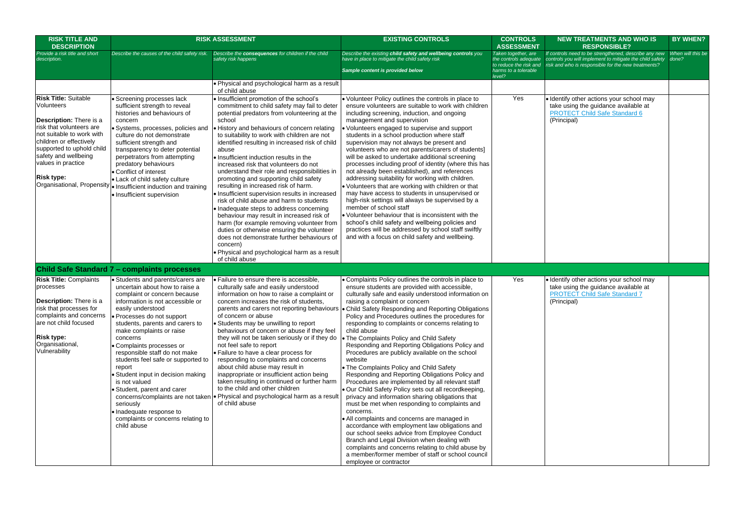| <b>RISK TITLE AND</b><br><b>DESCRIPTION</b>                                                                                                                                                                                                                     |                                                                                                                                                                                                                                                                                                                                                                                                                                                                                                                                                                     | <b>RISK ASSESSMENT</b>                                                                                                                                                                                                                                                                                                                                                                                                                                                                                                                                                                                                                                                                                                                                                                                                                                                                                                                               | <b>EXISTING CONTROLS</b>                                                                                                                                                                                                                                                                                                                                                                                                                                                                                                                                                                                                                                                                                                                                                                                                                                                                                                                                                                                                                                                                                                                                                                                          | <b>CONTROLS</b><br><b>ASSESSMENT</b>                                                                     |                                       |
|-----------------------------------------------------------------------------------------------------------------------------------------------------------------------------------------------------------------------------------------------------------------|---------------------------------------------------------------------------------------------------------------------------------------------------------------------------------------------------------------------------------------------------------------------------------------------------------------------------------------------------------------------------------------------------------------------------------------------------------------------------------------------------------------------------------------------------------------------|------------------------------------------------------------------------------------------------------------------------------------------------------------------------------------------------------------------------------------------------------------------------------------------------------------------------------------------------------------------------------------------------------------------------------------------------------------------------------------------------------------------------------------------------------------------------------------------------------------------------------------------------------------------------------------------------------------------------------------------------------------------------------------------------------------------------------------------------------------------------------------------------------------------------------------------------------|-------------------------------------------------------------------------------------------------------------------------------------------------------------------------------------------------------------------------------------------------------------------------------------------------------------------------------------------------------------------------------------------------------------------------------------------------------------------------------------------------------------------------------------------------------------------------------------------------------------------------------------------------------------------------------------------------------------------------------------------------------------------------------------------------------------------------------------------------------------------------------------------------------------------------------------------------------------------------------------------------------------------------------------------------------------------------------------------------------------------------------------------------------------------------------------------------------------------|----------------------------------------------------------------------------------------------------------|---------------------------------------|
| Provide a risk title and short<br>description.                                                                                                                                                                                                                  | Describe the causes of the child safety risk.                                                                                                                                                                                                                                                                                                                                                                                                                                                                                                                       | Describe the consequences for children if the child<br>safety risk happens                                                                                                                                                                                                                                                                                                                                                                                                                                                                                                                                                                                                                                                                                                                                                                                                                                                                           | Describe the existing child safety and wellbeing controls you<br>have in place to mitigate the child safety risk<br>Sample content is provided below                                                                                                                                                                                                                                                                                                                                                                                                                                                                                                                                                                                                                                                                                                                                                                                                                                                                                                                                                                                                                                                              | Taken together, are<br>the controls adequate<br>to reduce the risk and<br>harms to a tolerable<br>level? | If contro<br>controls<br>risk and     |
|                                                                                                                                                                                                                                                                 |                                                                                                                                                                                                                                                                                                                                                                                                                                                                                                                                                                     | • Physical and psychological harm as a result<br>of child abuse                                                                                                                                                                                                                                                                                                                                                                                                                                                                                                                                                                                                                                                                                                                                                                                                                                                                                      |                                                                                                                                                                                                                                                                                                                                                                                                                                                                                                                                                                                                                                                                                                                                                                                                                                                                                                                                                                                                                                                                                                                                                                                                                   |                                                                                                          |                                       |
| <b>Risk Title: Suitable</b><br><b>Volunteers</b><br>Description: There is a<br>risk that volunteers are<br>not suitable to work with<br>children or effectively<br>supported to uphold child<br>safety and wellbeing<br>values in practice<br><b>Risk type:</b> | · Screening processes lack<br>sufficient strength to reveal<br>histories and behaviours of<br>concern<br>· Systems, processes, policies and<br>culture do not demonstrate<br>sufficient strength and<br>transparency to deter potential<br>perpetrators from attempting<br>predatory behaviours<br>• Conflict of interest<br>• Lack of child safety culture<br>Organisational, Propensity  . Insufficient induction and training<br>• Insufficient supervision                                                                                                      | · Insufficient promotion of the school's<br>commitment to child safety may fail to deter<br>potential predators from volunteering at the<br>school<br>• History and behaviours of concern relating<br>to suitability to work with children are not<br>identified resulting in increased risk of child<br>abuse<br>· Insufficient induction results in the<br>increased risk that volunteers do not<br>understand their role and responsibilities in<br>promoting and supporting child safety<br>resulting in increased risk of harm.<br>· Insufficient supervision results in increased<br>risk of child abuse and harm to students<br>• Inadequate steps to address concerning<br>behaviour may result in increased risk of<br>harm (for example removing volunteer from<br>duties or otherwise ensuring the volunteer<br>does not demonstrate further behaviours of<br>concern)<br>• Physical and psychological harm as a result<br>of child abuse | . Volunteer Policy outlines the controls in place to<br>ensure volunteers are suitable to work with children<br>including screening, induction, and ongoing<br>management and supervision<br>· Volunteers engaged to supervise and support<br>students in a school production where staff<br>supervision may not always be present and<br>volunteers who are not parents/carers of students]<br>will be asked to undertake additional screening<br>processes including proof of identity (where this has<br>not already been established), and references<br>addressing suitability for working with children.<br>. Volunteers that are working with children or that<br>may have access to students in unsupervised or<br>high-risk settings will always be supervised by a<br>member of school staff<br>• Volunteer behaviour that is inconsistent with the<br>school's child safety and wellbeing policies and<br>practices will be addressed by school staff swiftly<br>and with a focus on child safety and wellbeing.                                                                                                                                                                                       | Yes                                                                                                      | · Iden<br>take<br><b>PRO</b><br>(Prin |
|                                                                                                                                                                                                                                                                 | <b>Child Safe Standard 7 - complaints processes</b>                                                                                                                                                                                                                                                                                                                                                                                                                                                                                                                 |                                                                                                                                                                                                                                                                                                                                                                                                                                                                                                                                                                                                                                                                                                                                                                                                                                                                                                                                                      |                                                                                                                                                                                                                                                                                                                                                                                                                                                                                                                                                                                                                                                                                                                                                                                                                                                                                                                                                                                                                                                                                                                                                                                                                   |                                                                                                          |                                       |
| <b>Risk Title: Complaints</b><br>processes<br>Description: There is a<br>risk that processes for<br>complaints and concerns<br>are not child focused<br><b>Risk type:</b><br>Organisational,<br>Vulnerability                                                   | • Students and parents/carers are<br>uncertain about how to raise a<br>complaint or concern because<br>information is not accessible or<br>easily understood<br>• Processes do not support<br>students, parents and carers to<br>make complaints or raise<br>concerns<br>Complaints processes or<br>responsible staff do not make<br>students feel safe or supported to<br>report<br>Student input in decision making<br>is not valued<br>· Student, parent and carer<br>seriously<br>• Inadequate response to<br>complaints or concerns relating to<br>child abuse | · Failure to ensure there is accessible,<br>culturally safe and easily understood<br>information on how to raise a complaint or<br>concern increases the risk of students,<br>parents and carers not reporting behaviours<br>of concern or abuse<br>• Students may be unwilling to report<br>behaviours of concern or abuse if they feel<br>they will not be taken seriously or if they do<br>not feel safe to report<br>• Failure to have a clear process for<br>responding to complaints and concerns<br>about child abuse may result in<br>inappropriate or insufficient action being<br>taken resulting in continued or further harm<br>to the child and other children<br>concerns/complaints are not taken   Physical and psychological harm as a result<br>of child abuse                                                                                                                                                                     | • Complaints Policy outlines the controls in place to<br>ensure students are provided with accessible,<br>culturally safe and easily understood information on<br>raising a complaint or concern<br>• Child Safety Responding and Reporting Obligations<br>Policy and Procedures outlines the procedures for<br>responding to complaints or concerns relating to<br>child abuse<br>. The Complaints Policy and Child Safety<br>Responding and Reporting Obligations Policy and<br>Procedures are publicly available on the school<br>website<br>. The Complaints Policy and Child Safety<br>Responding and Reporting Obligations Policy and<br>Procedures are implemented by all relevant staff<br>. Our Child Safety Policy sets out all recordkeeping,<br>privacy and information sharing obligations that<br>must be met when responding to complaints and<br>concerns.<br>• All complaints and concerns are managed in<br>accordance with employment law obligations and<br>our school seeks advice from Employee Conduct<br>Branch and Legal Division when dealing with<br>complaints and concerns relating to child abuse by<br>a member/former member of staff or school council<br>employee or contractor | Yes                                                                                                      | · Iden<br>take<br><b>PRC</b><br>(Prin |

| <b>ITROLS</b><br><b>SSMENT</b>                             | <b>NEW TREATMENTS AND WHO IS</b><br><b>RESPONSIBLE?</b>                                                                                                                  | <b>BY WHEN?</b>            |
|------------------------------------------------------------|--------------------------------------------------------------------------------------------------------------------------------------------------------------------------|----------------------------|
| gether, are<br>ols adequate<br>the risk and<br>a tolerable | If controls need to be strengthened, describe any new<br>controls you will implement to mitigate the child safety<br>risk and who is responsible for the new treatments? | When will this be<br>done? |
|                                                            |                                                                                                                                                                          |                            |
| Yes                                                        | · Identify other actions your school may<br>take using the guidance available at<br><b>PROTECT Child Safe Standard 6</b><br>(Principal)                                  |                            |
|                                                            |                                                                                                                                                                          |                            |
| Yes                                                        | · Identify other actions your school may<br>take using the guidance available at<br><b>PROTECT Child Safe Standard 7</b><br>(Principal)                                  |                            |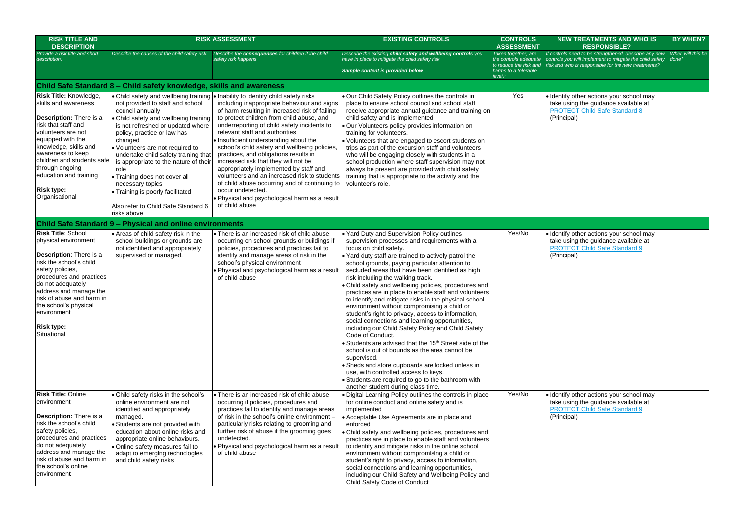| <b>RISK TITLE AND</b><br><b>DESCRIPTION</b>                                                                                                                                                                                                                                                                        |                                                                                                                                                                                                                                                                                                                                                                                                                                                          | <b>RISK ASSESSMENT</b>                                                                                                                                                                                                                                                                                                                                                                                                                                                                                                                                                                                                                                                                                                         | <b>EXISTING CONTROLS</b>                                                                                                                                                                                                                                                                                                                                                                                                                                                                                                                                                                                                                                                                                                                                                                                                                                                                                                                                                                                                                                         | <b>CONTROLS</b><br><b>ASSESSMENT</b>                                           | <b>NEW TREATMENTS AND WHO IS</b><br><b>RESPONSIBLE?</b>                                                                                                                                         | <b>BY WHEN?</b>            |
|--------------------------------------------------------------------------------------------------------------------------------------------------------------------------------------------------------------------------------------------------------------------------------------------------------------------|----------------------------------------------------------------------------------------------------------------------------------------------------------------------------------------------------------------------------------------------------------------------------------------------------------------------------------------------------------------------------------------------------------------------------------------------------------|--------------------------------------------------------------------------------------------------------------------------------------------------------------------------------------------------------------------------------------------------------------------------------------------------------------------------------------------------------------------------------------------------------------------------------------------------------------------------------------------------------------------------------------------------------------------------------------------------------------------------------------------------------------------------------------------------------------------------------|------------------------------------------------------------------------------------------------------------------------------------------------------------------------------------------------------------------------------------------------------------------------------------------------------------------------------------------------------------------------------------------------------------------------------------------------------------------------------------------------------------------------------------------------------------------------------------------------------------------------------------------------------------------------------------------------------------------------------------------------------------------------------------------------------------------------------------------------------------------------------------------------------------------------------------------------------------------------------------------------------------------------------------------------------------------|--------------------------------------------------------------------------------|-------------------------------------------------------------------------------------------------------------------------------------------------------------------------------------------------|----------------------------|
| Provide a risk title and short<br>description.                                                                                                                                                                                                                                                                     | Describe the causes of the child safety risk.                                                                                                                                                                                                                                                                                                                                                                                                            | Describe the consequences for children if the child<br>safety risk happens                                                                                                                                                                                                                                                                                                                                                                                                                                                                                                                                                                                                                                                     | Describe the existing child safety and wellbeing controls you<br>have in place to mitigate the child safety risk<br>Sample content is provided below                                                                                                                                                                                                                                                                                                                                                                                                                                                                                                                                                                                                                                                                                                                                                                                                                                                                                                             | Taken together, are<br>the controls adequate<br>harms to a tolerable<br>level? | If controls need to be strengthened, describe any new<br>controls you will implement to mitigate the child safety<br>to reduce the risk and risk and who is responsible for the new treatments? | When will this be<br>done? |
|                                                                                                                                                                                                                                                                                                                    | Child Safe Standard 8 – Child safety knowledge, skills and awareness                                                                                                                                                                                                                                                                                                                                                                                     |                                                                                                                                                                                                                                                                                                                                                                                                                                                                                                                                                                                                                                                                                                                                |                                                                                                                                                                                                                                                                                                                                                                                                                                                                                                                                                                                                                                                                                                                                                                                                                                                                                                                                                                                                                                                                  |                                                                                |                                                                                                                                                                                                 |                            |
| <b>Risk Title: Knowledge,</b><br>skills and awareness<br>Description: There is a<br>risk that staff and<br>volunteers are not<br>equipped with the<br>knowledge, skills and<br>awareness to keep<br>children and students safe<br>through ongoing<br>education and training<br><b>Risk type:</b><br>Organisational | not provided to staff and school<br>council annually<br>• Child safety and wellbeing training<br>is not refreshed or updated where<br>policy, practice or law has<br>changed<br>· Volunteers are not required to<br>undertake child safety training that<br>is appropriate to the nature of their<br>role<br>• Training does not cover all<br>necessary topics<br>• Training is poorly facilitated<br>Also refer to Child Safe Standard 6<br>risks above | • Child safety and wellbeing training • Inability to identify child safety risks<br>including inappropriate behaviour and signs<br>of harm resulting in increased risk of failing<br>to protect children from child abuse, and<br>underreporting of child safety incidents to<br>relevant staff and authorities<br>• Insufficient understanding about the<br>school's child safety and wellbeing policies,<br>practices, and obligations results in<br>increased risk that they will not be<br>appropriately implemented by staff and<br>volunteers and an increased risk to students<br>of child abuse occurring and of continuing to<br>occur undetected.<br>. Physical and psychological harm as a result<br>of child abuse | . Our Child Safety Policy outlines the controls in<br>place to ensure school council and school staff<br>receive appropriate annual guidance and training on<br>child safety and is implemented<br>· Our Volunteers policy provides information on<br>training for volunteers.<br>• Volunteers that are engaged to escort students on<br>trips as part of the excursion staff and volunteers<br>who will be engaging closely with students in a<br>school production where staff supervision may not<br>always be present are provided with child safety<br>training that is appropriate to the activity and the<br>volunteer's role.                                                                                                                                                                                                                                                                                                                                                                                                                            | Yes                                                                            | · Identify other actions your school may<br>take using the guidance available at<br><b>PROTECT Child Safe Standard 8</b><br>(Principal)                                                         |                            |
|                                                                                                                                                                                                                                                                                                                    | <b>Child Safe Standard 9 - Physical and online environments</b>                                                                                                                                                                                                                                                                                                                                                                                          |                                                                                                                                                                                                                                                                                                                                                                                                                                                                                                                                                                                                                                                                                                                                |                                                                                                                                                                                                                                                                                                                                                                                                                                                                                                                                                                                                                                                                                                                                                                                                                                                                                                                                                                                                                                                                  |                                                                                |                                                                                                                                                                                                 |                            |
| <b>Risk Title: School</b><br>physical environment<br>Description: There is a<br>risk the school's child<br>safety policies,<br>procedures and practices<br>do not adequately<br>address and manage the<br>risk of abuse and harm in<br>the school's physical<br>environment<br><b>Risk type:</b><br>Situational    | • Areas of child safety risk in the<br>school buildings or grounds are<br>not identified and appropriately<br>supervised or managed.                                                                                                                                                                                                                                                                                                                     | • There is an increased risk of child abuse<br>occurring on school grounds or buildings if<br>policies, procedures and practices fail to<br>identify and manage areas of risk in the<br>school's physical environment<br>. Physical and psychological harm as a result<br>of child abuse                                                                                                                                                                                                                                                                                                                                                                                                                                       | . Yard Duty and Supervision Policy outlines<br>supervision processes and requirements with a<br>focus on child safety.<br>• Yard duty staff are trained to actively patrol the<br>school grounds, paying particular attention to<br>secluded areas that have been identified as high<br>risk including the walking track.<br>Child safety and wellbeing policies, procedures and<br>practices are in place to enable staff and volunteers<br>to identify and mitigate risks in the physical school<br>environment without compromising a child or<br>student's right to privacy, access to information,<br>social connections and learning opportunities,<br>including our Child Safety Policy and Child Safety<br>Code of Conduct.<br>Students are advised that the 15 <sup>th</sup> Street side of the<br>school is out of bounds as the area cannot be<br>supervised.<br>· Sheds and store cupboards are locked unless in<br>use, with controlled access to keys.<br>• Students are required to go to the bathroom with<br>another student during class time. | Yes/No                                                                         | · Identify other actions your school may<br>take using the guidance available at<br><b>PROTECT Child Safe Standard 9</b><br>(Principal)                                                         |                            |
| <b>Risk Title: Online</b><br>environment<br><b>Description:</b> There is a<br>risk the school's child<br>safety policies,<br>procedures and practices<br>do not adequately<br>address and manage the<br>risk of abuse and harm in<br>the school's online<br>environment                                            | Child safety risks in the school's<br>online environment are not<br>identified and appropriately<br>managed.<br>· Students are not provided with<br>education about online risks and<br>appropriate online behaviours.<br>· Online safety measures fail to<br>adapt to emerging technologies<br>and child safety risks                                                                                                                                   | • There is an increased risk of child abuse<br>occurring if policies, procedures and<br>practices fail to identify and manage areas<br>of risk in the school's online environment -<br>particularly risks relating to grooming and<br>further risk of abuse if the grooming goes<br>undetected.<br>. Physical and psychological harm as a result<br>of child abuse                                                                                                                                                                                                                                                                                                                                                             | · Digital Learning Policy outlines the controls in place<br>for online conduct and online safety and is<br>implemented<br>• Acceptable Use Agreements are in place and<br>enforced<br>• Child safety and wellbeing policies, procedures and<br>practices are in place to enable staff and volunteers<br>to identify and mitigate risks in the online school<br>environment without compromising a child or<br>student's right to privacy, access to information,<br>social connections and learning opportunities,<br>including our Child Safety and Wellbeing Policy and<br>Child Safety Code of Conduct                                                                                                                                                                                                                                                                                                                                                                                                                                                        | Yes/No                                                                         | · Identify other actions your school may<br>take using the guidance available at<br><b>PROTECT Child Safe Standard 9</b><br>(Principal)                                                         |                            |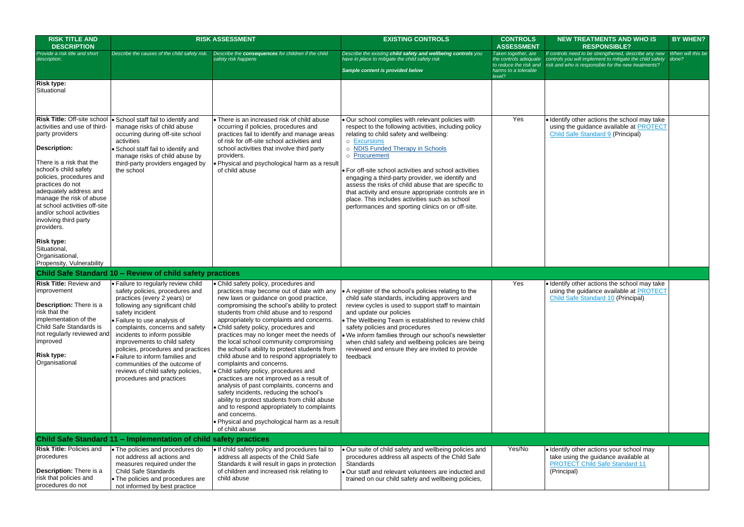| <b>DNTROLS</b><br><b>SESSMENT</b>                                     | <b>NEW TREATMENTS AND WHO IS</b><br><b>RESPONSIBLE?</b>                                                                                                                  | <b>BY WHEN?</b>            |
|-----------------------------------------------------------------------|--------------------------------------------------------------------------------------------------------------------------------------------------------------------------|----------------------------|
| together, are<br>ntrols adequate<br>ce the risk and<br>to a tolerable | If controls need to be strengthened, describe any new<br>controls you will implement to mitigate the child safety<br>risk and who is responsible for the new treatments? | When will this be<br>done? |
|                                                                       |                                                                                                                                                                          |                            |
|                                                                       |                                                                                                                                                                          |                            |
| Yes                                                                   | . Identify other actions the school may take<br>using the guidance available at <b>PROTECT</b><br><b>Child Safe Standard 9 (Principal)</b>                               |                            |
|                                                                       |                                                                                                                                                                          |                            |
| Yes                                                                   | . Identify other actions the school may take<br>using the guidance available at <b>PROTECT</b><br>Child Safe Standard 10 (Principal)                                     |                            |
|                                                                       |                                                                                                                                                                          |                            |
| Yes/No                                                                | · Identify other actions your school may<br>take using the guidance available at<br><b>PROTECT Child Safe Standard 11</b><br>(Principal)                                 |                            |

| <b>RISK TITLE AND</b><br><b>DESCRIPTION</b>                                                                                                                                                                                                                                                                                           |                                                                                                                                                                                                                                                                                                                                                                                                                                                                             | <b>RISK ASSESSMENT</b>                                                                                                                                                                                                                                                                                                                                                                                                                                                                                                                                                                                                                                                                                                                                                                                                                                                                             | <b>EXISTING CONTROLS</b>                                                                                                                                                                                                                                                                                                                                                                                                                                                                                                                                                                 | <b>CONTROLS</b><br><b>ASSESSMENT</b>                                                                     | N                                     |
|---------------------------------------------------------------------------------------------------------------------------------------------------------------------------------------------------------------------------------------------------------------------------------------------------------------------------------------|-----------------------------------------------------------------------------------------------------------------------------------------------------------------------------------------------------------------------------------------------------------------------------------------------------------------------------------------------------------------------------------------------------------------------------------------------------------------------------|----------------------------------------------------------------------------------------------------------------------------------------------------------------------------------------------------------------------------------------------------------------------------------------------------------------------------------------------------------------------------------------------------------------------------------------------------------------------------------------------------------------------------------------------------------------------------------------------------------------------------------------------------------------------------------------------------------------------------------------------------------------------------------------------------------------------------------------------------------------------------------------------------|------------------------------------------------------------------------------------------------------------------------------------------------------------------------------------------------------------------------------------------------------------------------------------------------------------------------------------------------------------------------------------------------------------------------------------------------------------------------------------------------------------------------------------------------------------------------------------------|----------------------------------------------------------------------------------------------------------|---------------------------------------|
| Provide a risk title and short<br>description.                                                                                                                                                                                                                                                                                        | Describe the causes of the child safety risk.                                                                                                                                                                                                                                                                                                                                                                                                                               | Describe the consequences for children if the child<br>safety risk happens                                                                                                                                                                                                                                                                                                                                                                                                                                                                                                                                                                                                                                                                                                                                                                                                                         | Describe the existing child safety and wellbeing controls you<br>have in place to mitigate the child safety risk<br>Sample content is provided below                                                                                                                                                                                                                                                                                                                                                                                                                                     | Taken together, are<br>the controls adequate<br>to reduce the risk and<br>harms to a tolerable<br>level? | If contr<br>control<br>risk an        |
| <b>Risk type:</b><br>Situational                                                                                                                                                                                                                                                                                                      |                                                                                                                                                                                                                                                                                                                                                                                                                                                                             |                                                                                                                                                                                                                                                                                                                                                                                                                                                                                                                                                                                                                                                                                                                                                                                                                                                                                                    |                                                                                                                                                                                                                                                                                                                                                                                                                                                                                                                                                                                          |                                                                                                          |                                       |
| activities and use of third-<br>party providers<br><b>Description:</b><br>There is a risk that the<br>school's child safety<br>policies, procedures and<br>practices do not<br>adequately address and<br>manage the risk of abuse<br>at school activities off-site<br>and/or school activities<br>involving third party<br>providers. | Risk Title: Off-site school   School staff fail to identify and<br>manage risks of child abuse<br>occurring during off-site school<br>activities<br>• School staff fail to identify and<br>manage risks of child abuse by<br>third-party providers engaged by<br>the school                                                                                                                                                                                                 | • There is an increased risk of child abuse<br>occurring if policies, procedures and<br>practices fail to identify and manage areas<br>of risk for off-site school activities and<br>school activities that involve third party<br>providers.<br>. Physical and psychological harm as a result<br>of child abuse                                                                                                                                                                                                                                                                                                                                                                                                                                                                                                                                                                                   | . Our school complies with relevant policies with<br>respect to the following activities, including policy<br>relating to child safety and wellbeing:<br>o Excursions<br><b>NDIS Funded Therapy in Schools</b><br>$\circ$<br>Procurement<br>$\circ$<br>• For off-site school activities and school activities<br>engaging a third-party provider, we identify and<br>assess the risks of child abuse that are specific to<br>that activity and ensure appropriate controls are in<br>place. This includes activities such as school<br>performances and sporting clinics on or off-site. | Yes                                                                                                      | $\bullet$ Iden<br>usin<br>Chil        |
| <b>Risk type:</b><br>Situational,<br>Organisational,<br>Propensity, Vulnerability                                                                                                                                                                                                                                                     |                                                                                                                                                                                                                                                                                                                                                                                                                                                                             |                                                                                                                                                                                                                                                                                                                                                                                                                                                                                                                                                                                                                                                                                                                                                                                                                                                                                                    |                                                                                                                                                                                                                                                                                                                                                                                                                                                                                                                                                                                          |                                                                                                          |                                       |
|                                                                                                                                                                                                                                                                                                                                       | Child Safe Standard 10 – Review of child safety practices                                                                                                                                                                                                                                                                                                                                                                                                                   |                                                                                                                                                                                                                                                                                                                                                                                                                                                                                                                                                                                                                                                                                                                                                                                                                                                                                                    |                                                                                                                                                                                                                                                                                                                                                                                                                                                                                                                                                                                          |                                                                                                          |                                       |
| <b>Risk Title: Review and</b><br>improvement<br>Description: There is a<br><b>Irisk that the</b><br>implementation of the<br>Child Safe Standards is<br>not regularly reviewed and<br>improved<br><b>Risk type:</b><br>Organisational                                                                                                 | • Failure to regularly review child<br>safety policies, procedures and<br>practices (every 2 years) or<br>following any significant child<br>safety incident<br>• Failure to use analysis of<br>complaints, concerns and safety<br>incidents to inform possible<br>improvements to child safety<br>policies, procedures and practices<br>• Failure to inform families and<br>communities of the outcome of<br>reviews of child safety policies,<br>procedures and practices | • Child safety policy, procedures and<br>practices may become out of date with any<br>new laws or guidance on good practice,<br>compromising the school's ability to protect<br>students from child abuse and to respond<br>appropriately to complaints and concerns.<br>• Child safety policy, procedures and<br>practices may no longer meet the needs of<br>the local school community compromising<br>the school's ability to protect students from<br>child abuse and to respond appropriately to<br>complaints and concerns.<br>• Child safety policy, procedures and<br>practices are not improved as a result of<br>analysis of past complaints, concerns and<br>safety incidents, reducing the school's<br>ability to protect students from child abuse<br>and to respond appropriately to complaints<br>and concerns.<br>. Physical and psychological harm as a result<br>of child abuse | • A register of the school's policies relating to the<br>child safe standards, including approvers and<br>review cycles is used to support staff to maintain<br>and update our policies<br>• The Wellbeing Team is established to review child<br>safety policies and procedures<br>. We inform families through our school's newsletter<br>when child safety and wellbeing policies are being<br>reviewed and ensure they are invited to provide<br>feedback                                                                                                                            | Yes                                                                                                      | $\bullet$ Iden<br>usin<br>Chil        |
|                                                                                                                                                                                                                                                                                                                                       | Child Safe Standard 11 - Implementation of child safety practices                                                                                                                                                                                                                                                                                                                                                                                                           |                                                                                                                                                                                                                                                                                                                                                                                                                                                                                                                                                                                                                                                                                                                                                                                                                                                                                                    |                                                                                                                                                                                                                                                                                                                                                                                                                                                                                                                                                                                          |                                                                                                          |                                       |
| <b>Risk Title: Policies and</b><br>procedures<br><b>Description:</b> There is a<br>risk that policies and<br>procedures do not                                                                                                                                                                                                        | • The policies and procedures do<br>not address all actions and<br>measures required under the<br><b>Child Safe Standards</b><br>• The policies and procedures are<br>not informed by best practice                                                                                                                                                                                                                                                                         | . If child safety policy and procedures fail to<br>address all aspects of the Child Safe<br>Standards it will result in gaps in protection<br>of children and increased risk relating to<br>child abuse                                                                                                                                                                                                                                                                                                                                                                                                                                                                                                                                                                                                                                                                                            | . Our suite of child safety and wellbeing policies and<br>procedures address all aspects of the Child Safe<br>Standards<br>. Our staff and relevant volunteers are inducted and<br>trained on our child safety and wellbeing policies,                                                                                                                                                                                                                                                                                                                                                   | Yes/No                                                                                                   | l•lden<br>take<br><b>PRC</b><br>(Prir |